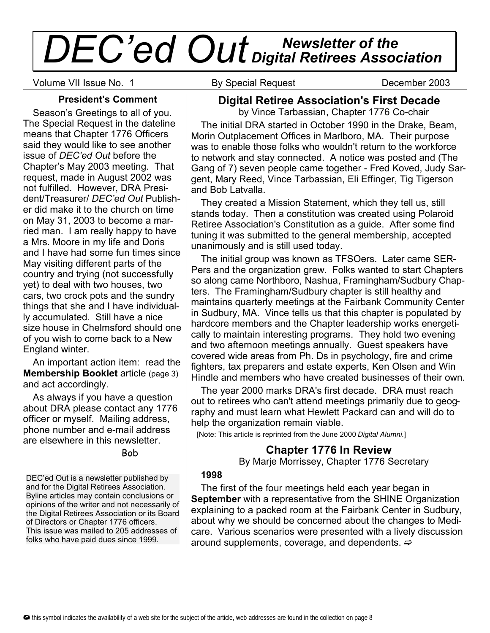# *Newsletter of the DEC'ed Out Digital Retirees Association*

Volume VII Issue No. 1 **By Special Request** December 2003

## **President's Comment**

Season's Greetings to all of you. The Special Request in the dateline means that Chapter 1776 Officers said they would like to see another issue of *DEC'ed Out* before the Chapter's May 2003 meeting. That request, made in August 2002 was not fulfilled. However, DRA President/Treasurer/ *DEC'ed Out* Publisher did make it to the church on time on May 31, 2003 to become a married man. I am really happy to have a Mrs. Moore in my life and Doris and I have had some fun times since May visiting different parts of the country and trying (not successfully yet) to deal with two houses, two cars, two crock pots and the sundry things that she and I have individually accumulated. Still have a nice size house in Chelmsford should one of you wish to come back to a New England winter.

An important action item: read the **Membership Booklet** article (page 3) and act accordingly.

As always if you have a question about DRA please contact any 1776 officer or myself. Mailing address, phone number and e-mail address are elsewhere in this newsletter.

Bob

DEC'ed Out is a newsletter published by and for the Digital Retirees Association. Byline articles may contain conclusions or opinions of the writer and not necessarily of the Digital Retirees Association or its Board of Directors or Chapter 1776 officers. This issue was mailed to 205 addresses of folks who have paid dues since 1999.

# **Digital Retiree Association's First Decade**

by Vince Tarbassian, Chapter 1776 Co-chair

The initial DRA started in October 1990 in the Drake, Beam, Morin Outplacement Offices in Marlboro, MA. Their purpose was to enable those folks who wouldn't return to the workforce to network and stay connected. A notice was posted and (The Gang of 7) seven people came together - Fred Koved, Judy Sargent, Mary Reed, Vince Tarbassian, Eli Effinger, Tig Tigerson and Bob Latvalla.

They created a Mission Statement, which they tell us, still stands today. Then a constitution was created using Polaroid Retiree Association's Constitution as a guide. After some find tuning it was submitted to the general membership, accepted unanimously and is still used today.

The initial group was known as TFSOers. Later came SER-Pers and the organization grew. Folks wanted to start Chapters so along came Northboro, Nashua, Framingham/Sudbury Chapters. The Framingham/Sudbury chapter is still healthy and maintains quarterly meetings at the Fairbank Community Center in Sudbury, MA. Vince tells us that this chapter is populated by hardcore members and the Chapter leadership works energetically to maintain interesting programs. They hold two evening and two afternoon meetings annually. Guest speakers have covered wide areas from Ph. Ds in psychology, fire and crime fighters, tax preparers and estate experts, Ken Olsen and Win Hindle and members who have created businesses of their own.

The year 2000 marks DRA's first decade. DRA must reach out to retirees who can't attend meetings primarily due to geography and must learn what Hewlett Packard can and will do to help the organization remain viable.

[Note: This article is reprinted from the June 2000 *Digital Alumni.*]

# **Chapter 1776 In Review**

By Marje Morrissey, Chapter 1776 Secretary

#### **1998**

The first of the four meetings held each year began in **September** with a representative from the SHINE Organization explaining to a packed room at the Fairbank Center in Sudbury, about why we should be concerned about the changes to Medicare. Various scenarios were presented with a lively discussion around supplements, coverage, and dependents.  $\Rightarrow$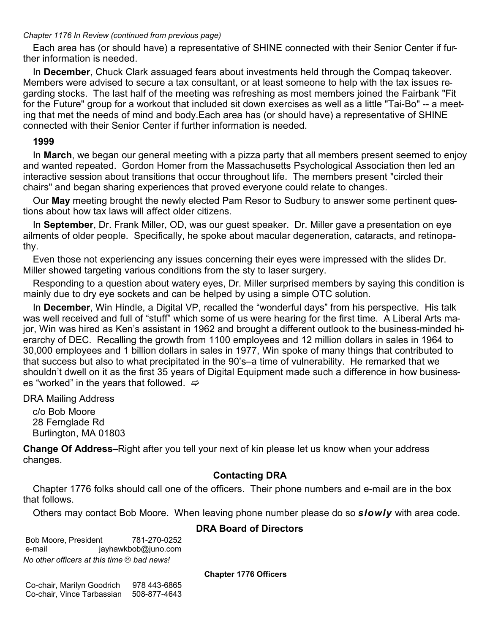#### *Chapter 1176 In Review (continued from previous page)*

Each area has (or should have) a representative of SHINE connected with their Senior Center if further information is needed.

In **December**, Chuck Clark assuaged fears about investments held through the Compaq takeover. Members were advised to secure a tax consultant, or at least someone to help with the tax issues regarding stocks. The last half of the meeting was refreshing as most members joined the Fairbank "Fit for the Future" group for a workout that included sit down exercises as well as a little "Tai-Bo" -- a meeting that met the needs of mind and body.Each area has (or should have) a representative of SHINE connected with their Senior Center if further information is needed.

#### **1999**

In **March**, we began our general meeting with a pizza party that all members present seemed to enjoy and wanted repeated. Gordon Homer from the Massachusetts Psychological Association then led an interactive session about transitions that occur throughout life. The members present "circled their chairs" and began sharing experiences that proved everyone could relate to changes.

Our **May** meeting brought the newly elected Pam Resor to Sudbury to answer some pertinent questions about how tax laws will affect older citizens.

In **September**, Dr. Frank Miller, OD, was our guest speaker. Dr. Miller gave a presentation on eye ailments of older people. Specifically, he spoke about macular degeneration, cataracts, and retinopathy.

Even those not experiencing any issues concerning their eyes were impressed with the slides Dr. Miller showed targeting various conditions from the sty to laser surgery.

Responding to a question about watery eyes, Dr. Miller surprised members by saying this condition is mainly due to dry eye sockets and can be helped by using a simple OTC solution.

In **December**, Win Hindle, a Digital VP, recalled the "wonderful days" from his perspective. His talk was well received and full of "stuff" which some of us were hearing for the first time. A Liberal Arts major, Win was hired as Ken's assistant in 1962 and brought a different outlook to the business-minded hierarchy of DEC. Recalling the growth from 1100 employees and 12 million dollars in sales in 1964 to 30,000 employees and 1 billion dollars in sales in 1977, Win spoke of many things that contributed to that success but also to what precipitated in the 90's–a time of vulnerability. He remarked that we shouldn't dwell on it as the first 35 years of Digital Equipment made such a difference in how businesses "worked" in the years that followed.  $\Rightarrow$ 

DRA Mailing Address

c/o Bob Moore 28 Fernglade Rd Burlington, MA 01803

**Change Of Address–**Right after you tell your next of kin please let us know when your address changes.

## **Contacting DRA**

Chapter 1776 folks should call one of the officers. Their phone numbers and e-mail are in the box that follows.

Others may contact Bob Moore. When leaving phone number please do so *slowly* with area code.

#### **DRA Board of Directors**

Bob Moore, President 781-270-0252 e-mail jayhawkbob@juno.com *No other officers at this time bad news!*

**Chapter 1776 Officers**

Co-chair, Marilyn Goodrich 978 443-6865 Co-chair, Vince Tarbassian 508-877-4643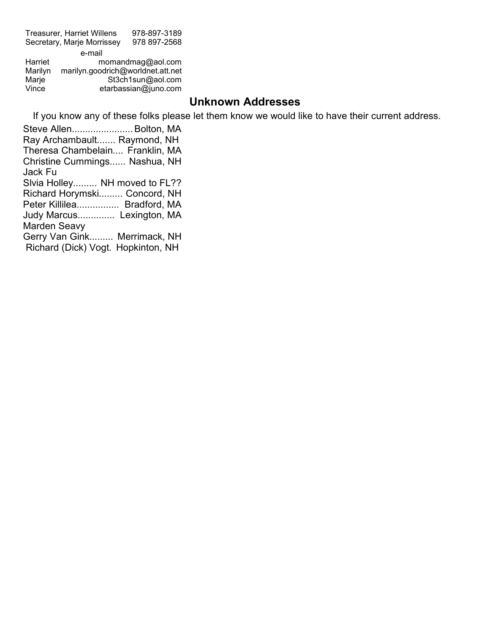Treasurer, Harriet Willens 978-897-3189 Secretary, Marje Morrissey 978 897-2568 e-mail<br>Harriet m momandmag@aol.com

Marilyn marilyn.goodrich@worldnet.att.net Marje St3ch1sun@aol.com<br>Vince etarbassian@juno.com etarbassian@juno.com

# **Unknown Addresses**

If you know any of these folks please let them know we would like to have their current address.

Steve Allen.......................Bolton, MA Ray Archambault....... Raymond, NH Theresa Chambelain.... Franklin, MA Christine Cummings...... Nashua, NH Jack Fu Slvia Holley......... NH moved to FL?? Richard Horymski......... Concord, NH Peter Killilea................ Bradford, MA Judy Marcus.............. Lexington, MA Marden Seavy Gerry Van Gink......... Merrimack, NH Richard (Dick) Vogt. Hopkinton, NH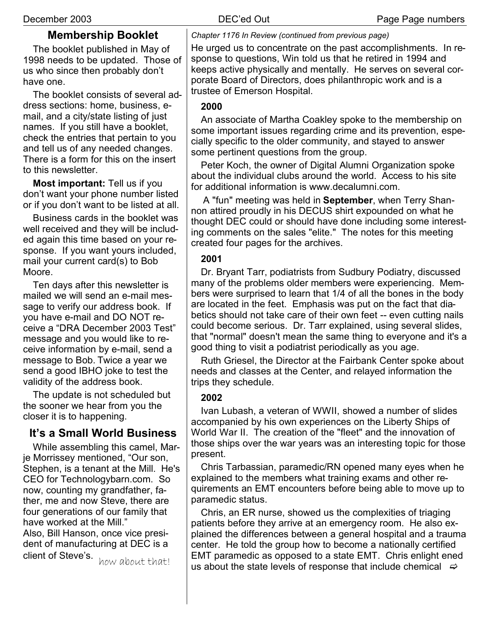# **Membership Booklet**

The booklet published in May of 1998 needs to be updated. Those of us who since then probably don't have one.

The booklet consists of several address sections: home, business, email, and a city/state listing of just names. If you still have a booklet, check the entries that pertain to you and tell us of any needed changes. There is a form for this on the insert to this newsletter.

**Most important:** Tell us if you don't want your phone number listed or if you don't want to be listed at all.

Business cards in the booklet was well received and they will be included again this time based on your response. If you want yours included, mail your current card(s) to Bob Moore.

Ten days after this newsletter is mailed we will send an e-mail message to verify our address book. If you have e-mail and DO NOT receive a "DRA December 2003 Test" message and you would like to receive information by e-mail, send a message to Bob. Twice a year we send a good IBHO joke to test the validity of the address book.

The update is not scheduled but the sooner we hear from you the closer it is to happening.

# **It's a Small World Business**

While assembling this camel, Marje Morrissey mentioned, "Our son, Stephen, is a tenant at the Mill. He's CEO for Technologybarn.com. So now, counting my grandfather, father, me and now Steve, there are four generations of our family that have worked at the Mill." Also, Bill Hanson, once vice president of manufacturing at DEC is a client of Steve's. how about that!

*Chapter 1176 In Review (continued from previous page)*

He urged us to concentrate on the past accomplishments. In response to questions, Win told us that he retired in 1994 and keeps active physically and mentally. He serves on several corporate Board of Directors, does philanthropic work and is a trustee of Emerson Hospital.

## **2000**

An associate of Martha Coakley spoke to the membership on some important issues regarding crime and its prevention, especially specific to the older community, and stayed to answer some pertinent questions from the group.

Peter Koch, the owner of Digital Alumni Organization spoke about the individual clubs around the world. Access to his site for additional information is www.decalumni.com.

A "fun" meeting was held in **September**, when Terry Shannon attired proudly in his DECUS shirt expounded on what he thought DEC could or should have done including some interesting comments on the sales "elite." The notes for this meeting created four pages for the archives.

### **2001**

Dr. Bryant Tarr, podiatrists from Sudbury Podiatry, discussed many of the problems older members were experiencing. Members were surprised to learn that 1/4 of all the bones in the body are located in the feet. Emphasis was put on the fact that diabetics should not take care of their own feet -- even cutting nails could become serious. Dr. Tarr explained, using several slides, that "normal" doesn't mean the same thing to everyone and it's a good thing to visit a podiatrist periodically as you age.

Ruth Griesel, the Director at the Fairbank Center spoke about needs and classes at the Center, and relayed information the trips they schedule.

## **2002**

Ivan Lubash, a veteran of WWII, showed a number of slides accompanied by his own experiences on the Liberty Ships of World War II. The creation of the "fleet" and the innovation of those ships over the war years was an interesting topic for those present.

Chris Tarbassian, paramedic/RN opened many eyes when he explained to the members what training exams and other requirements an EMT encounters before being able to move up to paramedic status.

Chris, an ER nurse, showed us the complexities of triaging patients before they arrive at an emergency room. He also explained the differences between a general hospital and a trauma center. He told the group how to become a nationally certified EMT paramedic as opposed to a state EMT. Chris enlight ened us about the state levels of response that include chemical  $\Rightarrow$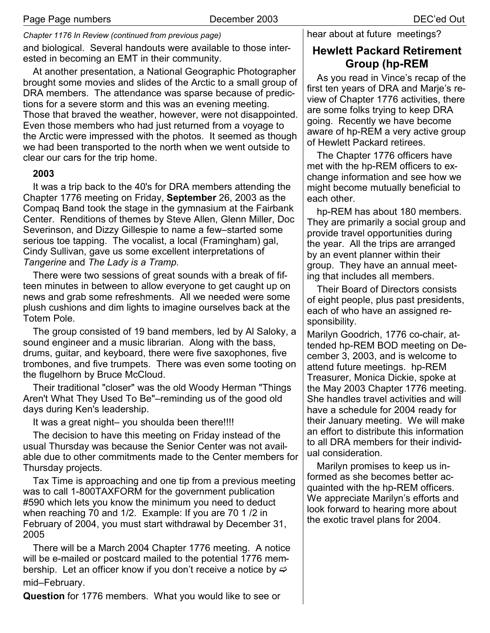*Chapter 1176 In Review (continued from previous page)* and biological. Several handouts were available to those interested in becoming an EMT in their community.

At another presentation, a National Geographic Photographer brought some movies and slides of the Arctic to a small group of DRA members. The attendance was sparse because of predictions for a severe storm and this was an evening meeting. Those that braved the weather, however, were not disappointed. Even those members who had just returned from a voyage to the Arctic were impressed with the photos. It seemed as though we had been transported to the north when we went outside to clear our cars for the trip home.

#### **2003**

It was a trip back to the 40's for DRA members attending the Chapter 1776 meeting on Friday, **September** 26, 2003 as the Compaq Band took the stage in the gymnasium at the Fairbank Center. Renditions of themes by Steve Allen, Glenn Miller, Doc Severinson, and Dizzy Gillespie to name a few–started some serious toe tapping. The vocalist, a local (Framingham) gal, Cindy Sullivan, gave us some excellent interpretations of *Tangerine* and *The Lady is a Tramp*.

There were two sessions of great sounds with a break of fifteen minutes in between to allow everyone to get caught up on news and grab some refreshments. All we needed were some plush cushions and dim lights to imagine ourselves back at the Totem Pole.

The group consisted of 19 band members, led by Al Saloky, a sound engineer and a music librarian. Along with the bass, drums, guitar, and keyboard, there were five saxophones, five trombones, and five trumpets. There was even some tooting on the flugelhorn by Bruce McCloud.

Their traditional "closer" was the old Woody Herman "Things Aren't What They Used To Be"–reminding us of the good old days during Ken's leadership.

It was a great night– you shoulda been there!!!!

The decision to have this meeting on Friday instead of the usual Thursday was because the Senior Center was not available due to other commitments made to the Center members for Thursday projects.

Tax Time is approaching and one tip from a previous meeting was to call 1-800TAXFORM for the government publication #590 which lets you know the minimum you need to deduct when reaching 70 and 1/2. Example: If you are 70 1 /2 in February of 2004, you must start withdrawal by December 31, 2005

There will be a March 2004 Chapter 1776 meeting. A notice will be e-mailed or postcard mailed to the potential 1776 membership. Let an officer know if you don't receive a notice by  $\Rightarrow$ mid–February.

**Question** for 1776 members. What you would like to see or

hear about at future meetings?

# **Hewlett Packard Retirement Group (hp-REM**

As you read in Vince's recap of the first ten years of DRA and Marje's review of Chapter 1776 activities, there are some folks trying to keep DRA going. Recently we have become aware of hp-REM a very active group of Hewlett Packard retirees.

The Chapter 1776 officers have met with the hp-REM officers to exchange information and see how we might become mutually beneficial to each other.

hp-REM has about 180 members. They are primarily a social group and provide travel opportunities during the year. All the trips are arranged by an event planner within their group. They have an annual meeting that includes all members.

Their Board of Directors consists of eight people, plus past presidents, each of who have an assigned responsibility.

Marilyn Goodrich, 1776 co-chair, attended hp-REM BOD meeting on December 3, 2003, and is welcome to attend future meetings. hp-REM Treasurer, Monica Dickie, spoke at the May 2003 Chapter 1776 meeting. She handles travel activities and will have a schedule for 2004 ready for their January meeting. We will make an effort to distribute this information to all DRA members for their individual consideration.

Marilyn promises to keep us informed as she becomes better acquainted with the hp-REM officers. We appreciate Marilyn's efforts and look forward to hearing more about the exotic travel plans for 2004.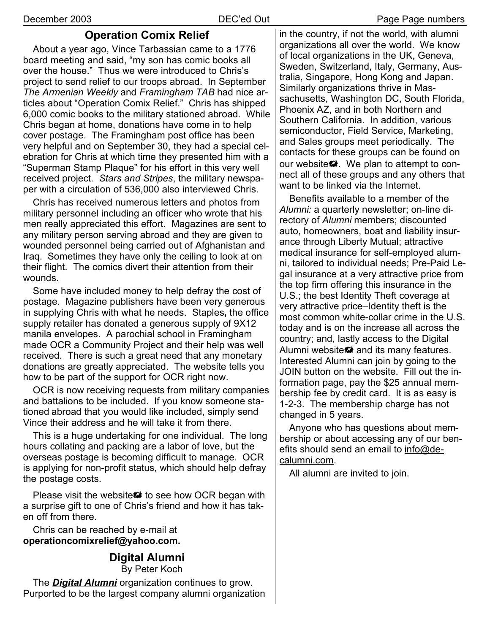## **Operation Comix Relief**

About a year ago, Vince Tarbassian came to a 1776 board meeting and said, "my son has comic books all over the house." Thus we were introduced to Chris's project to send relief to our troops abroad. In September *The Armenian Weekly* and *Framingham TAB* had nice articles about "Operation Comix Relief." Chris has shipped 6,000 comic books to the military stationed abroad. While Chris began at home, donations have come in to help cover postage. The Framingham post office has been very helpful and on September 30, they had a special celebration for Chris at which time they presented him with a "Superman Stamp Plaque" for his effort in this very well received project. *Stars and Stripes*, the military newspaper with a circulation of 536,000 also interviewed Chris.

Chris has received numerous letters and photos from military personnel including an officer who wrote that his men really appreciated this effort. Magazines are sent to any military person serving abroad and they are given to wounded personnel being carried out of Afghanistan and Iraq. Sometimes they have only the ceiling to look at on their flight. The comics divert their attention from their wounds.

Some have included money to help defray the cost of postage. Magazine publishers have been very generous in supplying Chris with what he needs. Staples**,** the office supply retailer has donated a generous supply of 9X12 manila envelopes. A parochial school in Framingham made OCR a Community Project and their help was well received. There is such a great need that any monetary donations are greatly appreciated. The website tells you how to be part of the support for OCR right now.

OCR is now receiving requests from military companies and battalions to be included. If you know someone stationed abroad that you would like included, simply send Vince their address and he will take it from there.

This is a huge undertaking for one individual. The long hours collating and packing are a labor of love, but the overseas postage is becoming difficult to manage. OCR is applying for non-profit status, which should help defray the postage costs.

Please visit the website **\*\*** to see how OCR began with a surprise gift to one of Chris's friend and how it has taken off from there.

Chris can be reached by e-mail at **operationcomixrelief@yahoo.com.**

# **Digital Alumni**

By Peter Koch

The *Digital Alumni* organization continues to grow. Purported to be the largest company alumni organization in the country, if not the world, with alumni organizations all over the world. We know of local organizations in the UK, Geneva, Sweden, Switzerland, Italy, Germany, Australia, Singapore, Hong Kong and Japan. Similarly organizations thrive in Massachusetts, Washington DC, South Florida, Phoenix AZ, and in both Northern and Southern California. In addition, various semiconductor, Field Service, Marketing, and Sales groups meet periodically. The contacts for these groups can be found on our website. We plan to attempt to connect all of these groups and any others that want to be linked via the Internet.

Benefits available to a member of the *Alumni:* a quarterly newsletter; on-line directory of *Alumni* members; discounted auto, homeowners, boat and liability insurance through Liberty Mutual; attractive medical insurance for self-employed alumni, tailored to individual needs; Pre-Paid Legal insurance at a very attractive price from the top firm offering this insurance in the U.S.; the best Identity Theft coverage at very attractive price–Identity theft is the most common white-collar crime in the U.S. today and is on the increase all across the country; and, lastly access to the Digital Alumni website ## and its many features. Interested Alumni can join by going to the JOIN button on the website. Fill out the information page, pay the \$25 annual membership fee by credit card. It is as easy is 1-2-3. The membership charge has not changed in 5 years.

Anyone who has questions about membership or about accessing any of our benefits should send an email to info@decalumni.com.

All alumni are invited to join.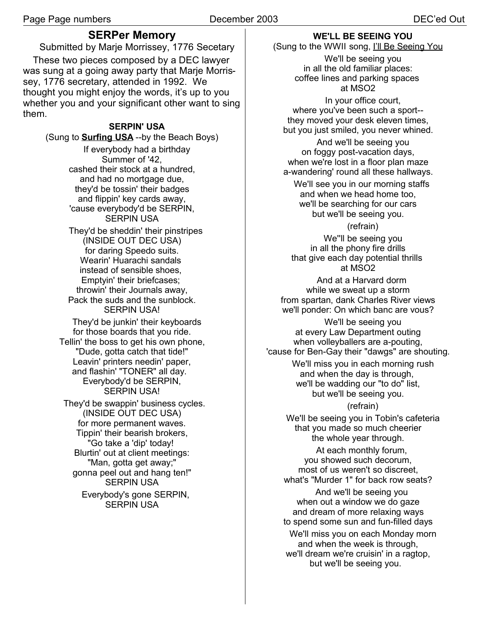## **SERPer Memory**

Submitted by Marje Morrissey, 1776 Secetary These two pieces composed by a DEC lawyer was sung at a going away party that Marje Morrissey, 1776 secretary, attended in 1992. We thought you might enjoy the words, it's up to you whether you and your significant other want to sing them.

#### **SERPIN' USA**

(Sung to **Surfing USA** --by the Beach Boys) If everybody had a birthday Summer of '42, cashed their stock at a hundred, and had no mortgage due, they'd be tossin' their badges and flippin' key cards away, 'cause everybody'd be SERPIN, SERPIN USA They'd be sheddin' their pinstripes (INSIDE OUT DEC USA) for daring Speedo suits. Wearin' Huarachi sandals instead of sensible shoes, Emptyin' their briefcases; throwin' their Journals away, Pack the suds and the sunblock. SERPIN USA! They'd be junkin' their keyboards for those boards that you ride. Tellin' the boss to get his own phone, "Dude, gotta catch that tide!" Leavin' printers needin' paper, and flashin' "TONER" all day. Everybody'd be SERPIN, SERPIN USA! They'd be swappin' business cycles. (INSIDE OUT DEC USA) for more permanent waves. Tippin' their bearish brokers, "Go take a 'dip' today! Blurtin' out at client meetings: "Man, gotta get away;" gonna peel out and hang ten!" SERPIN USA Everybody's gone SERPIN, SERPIN USA

## **WE'LL BE SEEING YOU**

(Sung to the WWII song, I'll Be Seeing You

We'll be seeing you in all the old familiar places: coffee lines and parking spaces at MSO2

In your office court, where you've been such a sport- they moved your desk eleven times, but you just smiled, you never whined.

And we'll be seeing you on foggy post-vacation days, when we're lost in a floor plan maze a-wandering' round all these hallways.

We'll see you in our morning staffs and when we head home too, we'll be searching for our cars but we'll be seeing you.

(refrain)

We''ll be seeing you in all the phony fire drills that give each day potential thrills at MSO2

And at a Harvard dorm while we sweat up a storm from spartan, dank Charles River views we'll ponder: On which banc are vous?

We'll be seeing you at every Law Department outing when volleyballers are a-pouting, 'cause for Ben-Gay their "dawgs" are shouting. We'll miss you in each morning rush and when the day is through, we'll be wadding our "to do" list, but we'll be seeing you.

(refrain)

We'll be seeing you in Tobin's cafeteria that you made so much cheerier the whole year through.

At each monthly forum, you showed such decorum, most of us weren't so discreet, what's "Murder 1" for back row seats?

And we'll be seeing you when out a window we do gaze and dream of more relaxing ways to spend some sun and fun-filled days

We'll miss you on each Monday morn and when the week is through, we'll dream we're cruisin' in a ragtop, but we'll be seeing you.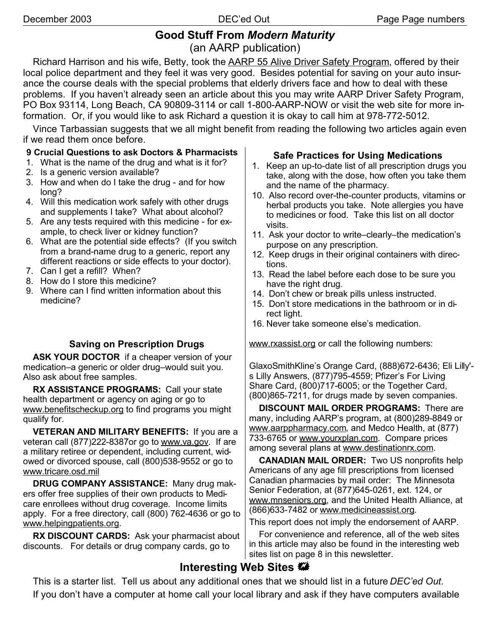# **Good Stuff From** *Modern Maturity* (an AARP publication)

Richard Harrison and his wife, Betty, took the AARP 55 Alive Driver Safety Program, offered by their local police department and they feel it was very good. Besides potential for saving on your auto insurance the course deals with the special problems that elderly drivers face and how to deal with these problems. If you haven't already seen an article about this you may write AARP Driver Safety Program, PO Box 93114, Long Beach, CA 90809-3114 or call 1-800-AARP-NOW or visit the web site for more information. Or, if you would like to ask Richard a question it is okay to call him at 978-772-5012.

Vince Tarbassian suggests that we all might benefit from reading the following two articles again even if we read them once before.

#### **9 Crucial Questions to ask Doctors & Pharmacists**

- 1. What is the name of the drug and what is it for?
- 2. Is a generic version available?
- 3. How and when do I take the drug and for how long?
- 4. Will this medication work safely with other drugs and supplements I take? What about alcohol?
- 5. Are any tests required with this medicine for example, to check liver or kidney function?
- 6. What are the potential side effects? (If you switch from a brand-name drug to a generic, report any different reactions or side effects to your doctor).
- 7. Can I get a refill? When?
- 8. How do I store this medicine?
- 9. Where can I find written information about this medicine?

## **Saving on Prescription Drugs**

**ASK YOUR DOCTOR** if a cheaper version of your medication–a generic or older drug–would suit you. Also ask about free samples.

**RX ASSISTANCE PROGRAMS:** Call your state health department or agency on aging or go to www.benefitscheckup.org to find programs you might qualify for.

**VETERAN AND MILITARY BENEFITS:** If you are a veteran call (877)222-8387or go to www.va.gov. If are a military retiree or dependent, including current, widowed or divorced spouse, call (800)538-9552 or go to www.tricare.osd.mil

**DRUG COMPANY ASSISTANCE:** Many drug makers offer free supplies of their own products to Medicare enrollees without drug coverage. Income limits apply. For a free directory, call (800) 762-4636 or go to www.helpingpatients.org.

**RX DISCOUNT CARDS:** Ask your pharmacist about discounts. For details or drug company cards, go to

#### **Safe Practices for Using Medications**

- 1. Keep an up-to-date list of all prescription drugs you take, along with the dose, how often you take them and the name of the pharmacy.
- 10. Also record over-the-counter products, vitamins or herbal products you take. Note allergies you have to medicines or food. Take this list on all doctor visits.
- 11. Ask your doctor to write–clearly–the medication's purpose on any prescription.
- 12. Keep drugs in their original containers with directions.
- 13. Read the label before each dose to be sure you have the right drug.
- 14. Don't chew or break pills unless instructed.
- 15. Don't store medications in the bathroom or in direct light.
- 16. Never take someone else's medication.

www.rxassist.org or call the following numbers:

GlaxoSmithKline's Orange Card, (888)672-6436; Eli Lilly' s Lilly Answers, (877)795-4559; Pfizer's For Living Share Card, (800)717-6005; or the Together Card, (800)865-7211, for drugs made by seven companies.

**DISCOUNT MAIL ORDER PROGRAMS:** There are many, including AARP's program, at (800)289-8849 or www.aarppharmacy.com, and Medco Health, at (877) 733-6765 or www.yourxplan.com. Compare prices among several plans at www.destinationrx.com.

**CANADIAN MAIL ORDER:** Two US nonprofits help Americans of any age fill prescriptions from licensed Canadian pharmacies by mail order: The Minnesota Senior Federation, at (877)645-0261, ext. 124, or www.mnseniors.org, and the United Health Alliance, at (866)633-7482 or www.medicineassist.org.

This report does not imply the endorsement of AARP.

For convenience and reference, all of the web sites in this article may also be found in the interesting web sites list on page 8 in this newsletter.

# **Interesting Web Sites**

This is a starter list. Tell us about any additional ones that we should list in a future *DEC'ed Out*. If you don't have a computer at home call your local library and ask if they have computers available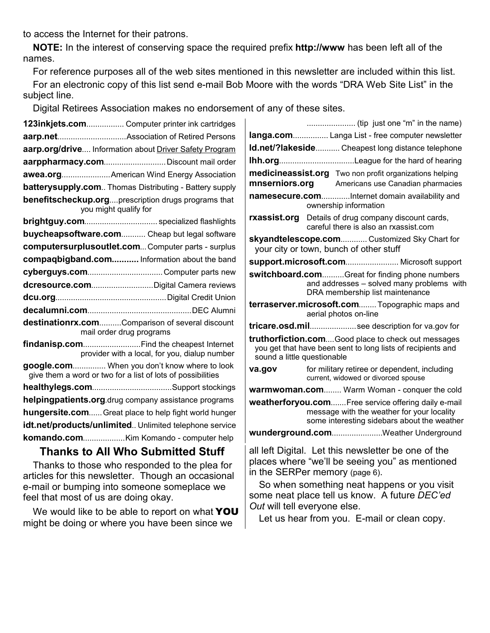to access the Internet for their patrons.

**NOTE:** In the interest of conserving space the required prefix **http://www** has been left all of the names.

For reference purposes all of the web sites mentioned in this newsletter are included within this list. For an electronic copy of this list send e-mail Bob Moore with the words "DRA Web Site List" in the subject line.

Digital Retirees Association makes no endorsement of any of these sites.

| 123inkjets.com Computer printer ink cartridges                                                              |                                               |  |
|-------------------------------------------------------------------------------------------------------------|-----------------------------------------------|--|
|                                                                                                             |                                               |  |
| aarp.org/drive Information about Driver Safety Program                                                      |                                               |  |
| aarppharmacy.com Discount mail order                                                                        |                                               |  |
| awea.org American Wind Energy Association                                                                   |                                               |  |
| batterysupply.com Thomas Distributing - Battery supply                                                      |                                               |  |
| benefitscheckup.orgprescription drugs programs that<br>you might qualify for                                |                                               |  |
|                                                                                                             |                                               |  |
| buycheapsoftware.com Cheap but legal software                                                               |                                               |  |
| computersurplusoutlet.com Computer parts - surplus                                                          |                                               |  |
| compaqbigband.com Information about the band                                                                |                                               |  |
|                                                                                                             |                                               |  |
|                                                                                                             |                                               |  |
|                                                                                                             |                                               |  |
|                                                                                                             |                                               |  |
| destinationrx.comComparison of several discount<br>mail order drug programs                                 |                                               |  |
| findanisp.com Find the cheapest Internet                                                                    | provider with a local, for you, dialup number |  |
| google.com When you don't know where to look<br>give them a word or two for a list of lots of possibilities |                                               |  |
|                                                                                                             |                                               |  |
| helpingpatients.org.drug company assistance programs                                                        |                                               |  |
| hungersite.com Great place to help fight world hunger                                                       |                                               |  |
| idt.net/products/unlimited Unlimited telephone service                                                      |                                               |  |
|                                                                                                             |                                               |  |
| Thanke to All Who Cubmitted Ctuff                                                                           |                                               |  |

# **Thanks to All Who Submitted Stuff**

Thanks to those who responded to the plea for articles for this newsletter. Though an occasional e-mail or bumping into someone someplace we feel that most of us are doing okay.

We would like to be able to report on what YOU might be doing or where you have been since we

| langa.com Langa List - free computer newsletter                                                                                                  |                                                                                                                                                  |  |
|--------------------------------------------------------------------------------------------------------------------------------------------------|--------------------------------------------------------------------------------------------------------------------------------------------------|--|
| Id.net/?lakeside Cheapest long distance telephone                                                                                                |                                                                                                                                                  |  |
|                                                                                                                                                  |                                                                                                                                                  |  |
| medicineassist.org Two non profit organizations helping<br>mnserniors.org<br>Americans use Canadian pharmacies                                   |                                                                                                                                                  |  |
|                                                                                                                                                  | namesecure.comInternet domain availability and<br>ownership information                                                                          |  |
|                                                                                                                                                  | rxassist.org Details of drug company discount cards,<br>careful there is also an rxassist.com                                                    |  |
| skyandtelescope.com Customized Sky Chart for<br>your city or town, bunch of other stuff                                                          |                                                                                                                                                  |  |
|                                                                                                                                                  | support.microsoft.com Microsoft support                                                                                                          |  |
| switchboard.comGreat for finding phone numbers<br>and addresses - solved many problems with<br>DRA membership list maintenance                   |                                                                                                                                                  |  |
| terraserver.microsoft.com Topographic maps and<br>aerial photos on-line                                                                          |                                                                                                                                                  |  |
|                                                                                                                                                  | tricare.osd.milsee description for va.gov for                                                                                                    |  |
| truthorfiction.comGood place to check out messages<br>you get that have been sent to long lists of recipients and<br>sound a little questionable |                                                                                                                                                  |  |
| va.gov                                                                                                                                           | for military retiree or dependent, including<br>current, widowed or divorced spouse                                                              |  |
| warmwoman.com Warm Woman - conquer the cold                                                                                                      |                                                                                                                                                  |  |
|                                                                                                                                                  | weatherforyou.comFree service offering daily e-mail<br>message with the weather for your locality<br>some interesting sidebars about the weather |  |
| wunderground.comWeather Underground                                                                                                              |                                                                                                                                                  |  |
|                                                                                                                                                  | all left Digital. Let this newsletter be one of the<br>places where "we'll be seeing you" as mentioned<br>in the SERPer memory (page 6).         |  |

So when something neat happens or you visit some neat place tell us know. A future *DEC'ed Out* will tell everyone else.

Let us hear from you. E-mail or clean copy.